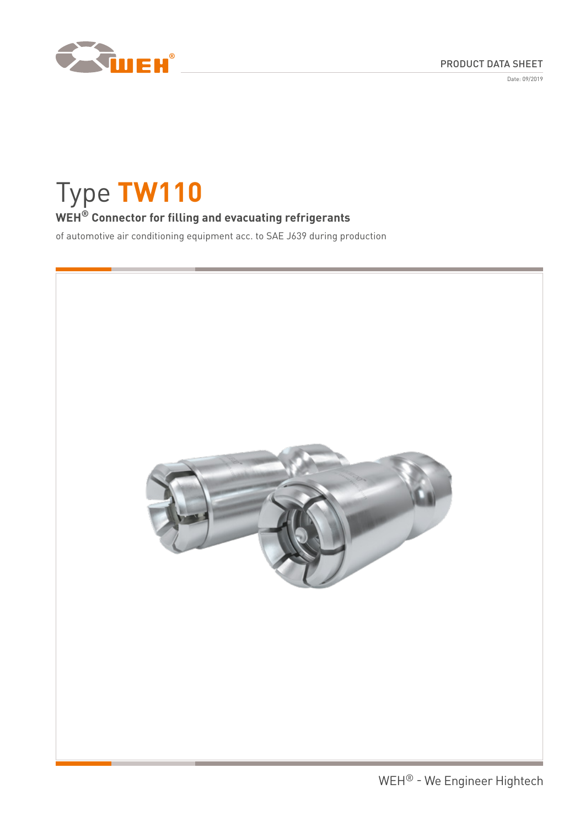

Date: 09/2019

# Type **TW110**

# **WEH® Connector for filling and evacuating refrigerants**

of automotive air conditioning equipment acc. to SAE J639 during production

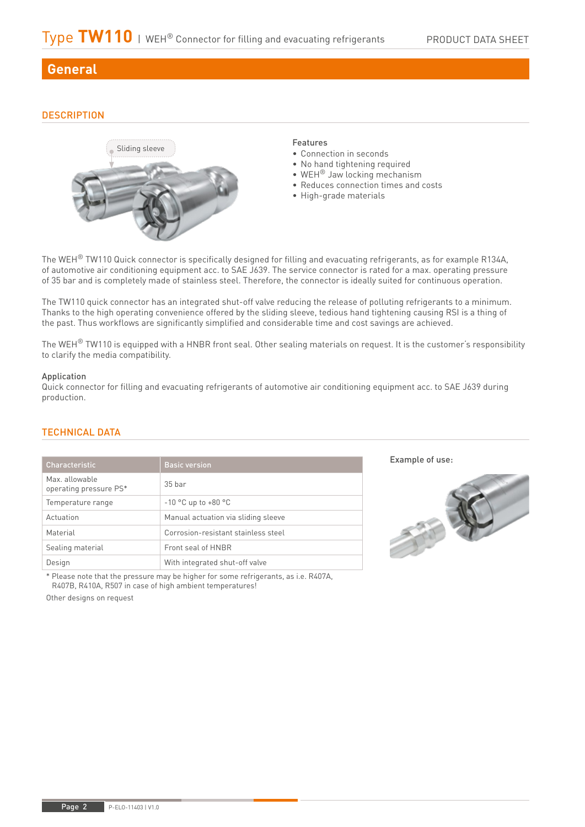# **General**

# **DESCRIPTION**



#### Features

- Connection in seconds
- No hand tightening required
- WEH® Jaw locking mechanism
- Reduces connection times and costs
- High-grade materials

The WEH® TW110 Quick connector is specifically designed for filling and evacuating refrigerants, as for example R134A, of automotive air conditioning equipment acc. to SAE J639. The service connector is rated for a max. operating pressure of 35 bar and is completely made of stainless steel. Therefore, the connector is ideally suited for continuous operation.

The TW110 quick connector has an integrated shut-off valve reducing the release of polluting refrigerants to a minimum. Thanks to the high operating convenience offered by the sliding sleeve, tedious hand tightening causing RSI is a thing of the past. Thus workflows are significantly simplified and considerable time and cost savings are achieved.

The WEH $^{\circ}$  TW110 is equipped with a HNBR front seal. Other sealing materials on request. It is the customer's responsibility to clarify the media compatibility.

#### Application

Quick connector for filling and evacuating refrigerants of automotive air conditioning equipment acc. to SAE J639 during production.

# TECHNICAL DATA

| <b>Characteristic</b>                    | <b>Basic version</b>                |
|------------------------------------------|-------------------------------------|
| Max. allowable<br>operating pressure PS* | $35$ har                            |
| Temperature range                        | $-10$ °C up to $+80$ °C             |
| Actuation                                | Manual actuation via sliding sleeve |
| Material                                 | Corrosion-resistant stainless steel |
| Sealing material                         | Front seal of HNBR                  |
| Design                                   | With integrated shut-off valve      |

Example of use:



\* Please note that the pressure may be higher for some refrigerants, as i.e. R407A, R407B, R410A, R507 in case of high ambient temperatures!

Other designs on request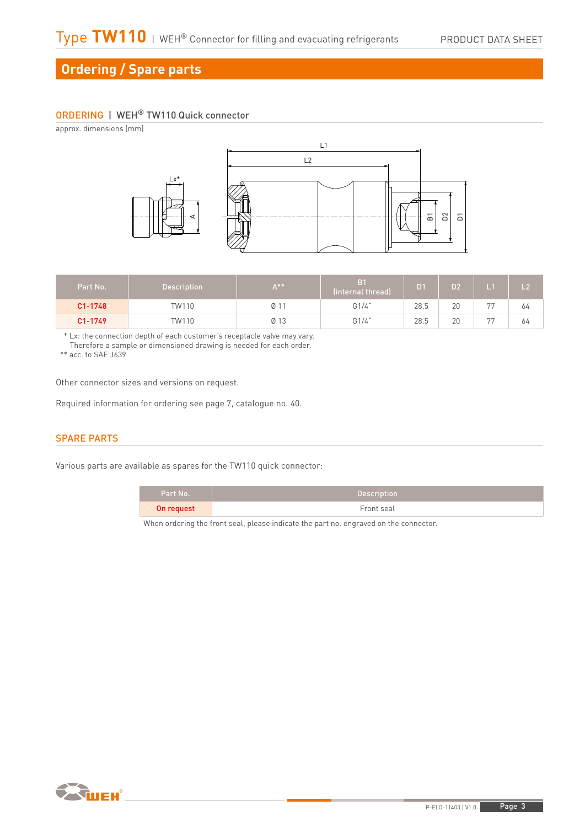# **Ordering / Spare parts**

# ORDERING | WEH® TW110 Quick connector

approx. dimensions (mm)



| Part No.    | <b>Description</b> | $A***$ | (internal thread) | D1   | D <sub>2</sub> | $\overline{1}$ 1 | L <sub>2</sub> |
|-------------|--------------------|--------|-------------------|------|----------------|------------------|----------------|
| $C1 - 1748$ | TW110              | Ø      | G1/4"             | 28.5 | 20             | <b>DD</b>        | 64             |
| C1-1749     | TW110              | Ø 13   | G1/4"             | 28.5 | 20             | 77               | 64             |

\* Lx: the connection depth of each customer's receptacle valve may vary.

Therefore a sample or dimensioned drawing is needed for each order.

\*\* acc. to SAE J639

Other connector sizes and versions on request.

Required information for ordering see page 7, catalogue no. 40.

## SPARE PARTS

Various parts are available as spares for the TW110 quick connector:

| Part No.   | <b>Description</b> |
|------------|--------------------|
| On request | Front seal         |

When ordering the front seal, please indicate the part no. engraved on the connector.